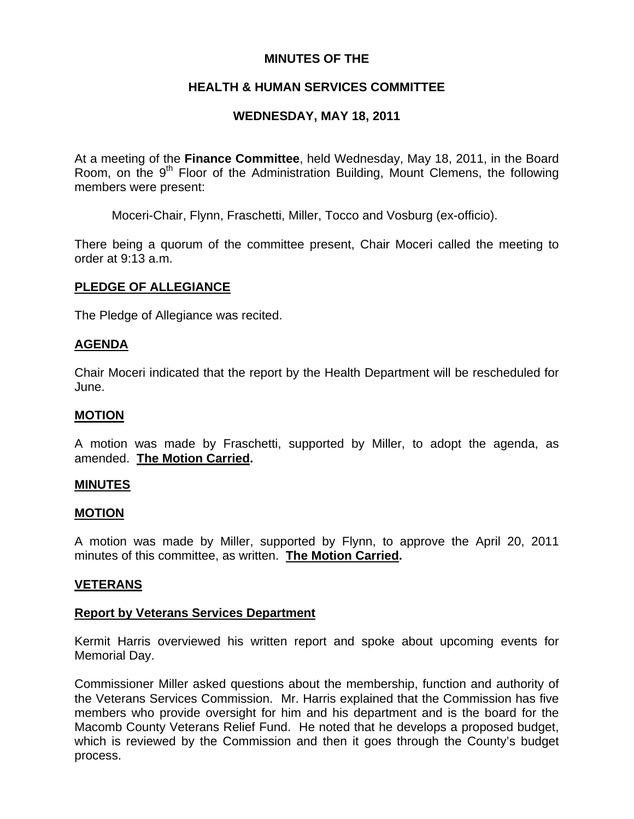## **MINUTES OF THE**

# **HEALTH & HUMAN SERVICES COMMITTEE**

# **WEDNESDAY, MAY 18, 2011**

At a meeting of the **Finance Committee**, held Wednesday, May 18, 2011, in the Board Room, on the  $9<sup>th</sup>$  Floor of the Administration Building, Mount Clemens, the following members were present:

Moceri-Chair, Flynn, Fraschetti, Miller, Tocco and Vosburg (ex-officio).

There being a quorum of the committee present, Chair Moceri called the meeting to order at 9:13 a.m.

## **PLEDGE OF ALLEGIANCE**

The Pledge of Allegiance was recited.

## **AGENDA**

Chair Moceri indicated that the report by the Health Department will be rescheduled for June.

#### **MOTION**

A motion was made by Fraschetti, supported by Miller, to adopt the agenda, as amended. **The Motion Carried.** 

#### **MINUTES**

#### **MOTION**

A motion was made by Miller, supported by Flynn, to approve the April 20, 2011 minutes of this committee, as written. **The Motion Carried.** 

#### **VETERANS**

#### **Report by Veterans Services Department**

Kermit Harris overviewed his written report and spoke about upcoming events for Memorial Day.

Commissioner Miller asked questions about the membership, function and authority of the Veterans Services Commission. Mr. Harris explained that the Commission has five members who provide oversight for him and his department and is the board for the Macomb County Veterans Relief Fund. He noted that he develops a proposed budget, which is reviewed by the Commission and then it goes through the County's budget process.